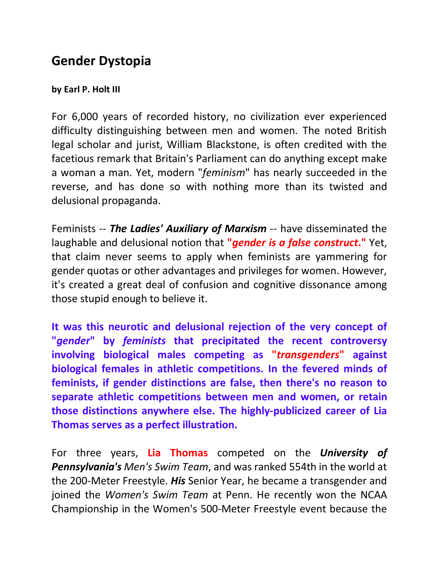## **Gender Dystopia**

## **by Earl P. Holt III**

For 6,000 years of recorded history, no civilization ever experienced difficulty distinguishing between men and women. The noted British legal scholar and jurist, William Blackstone, is often credited with the facetious remark that Britain's Parliament can do anything except make a woman a man. Yet, modern "*feminism*" has nearly succeeded in the reverse, and has done so with nothing more than its twisted and delusional propaganda.

Feminists -- *The Ladies' Auxiliary of Marxism* -- have disseminated the laughable and delusional notion that **"***gender is a false construct***."** Yet, that claim never seems to apply when feminists are yammering for gender quotas or other advantages and privileges for women. However, it's created a great deal of confusion and cognitive dissonance among those stupid enough to believe it.

**It was this neurotic and delusional rejection of the very concept of "***gender***" by** *feminists* **that precipitated the recent controversy involving biological males competing as "***transgenders***" against biological females in athletic competitions. In the fevered minds of feminists, if gender distinctions are false, then there's no reason to separate athletic competitions between men and women, or retain those distinctions anywhere else. The highly-publicized career of Lia Thomas serves as a perfect illustration.**

For three years, **Lia Thomas** competed on the *University of Pennsylvania's Men's Swim Team*, and was ranked 554th in the world at the 200-Meter Freestyle. *His* Senior Year, he became a transgender and joined the *Women's Swim Team* at Penn. He recently won the NCAA Championship in the Women's 500-Meter Freestyle event because the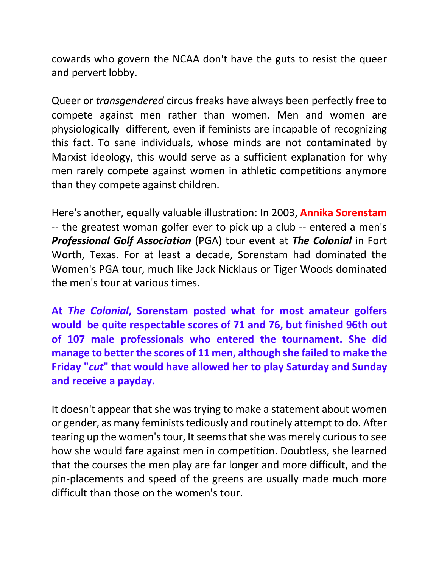cowards who govern the NCAA don't have the guts to resist the queer and pervert lobby.

Queer or *transgendered* circus freaks have always been perfectly free to compete against men rather than women. Men and women are physiologically different, even if feminists are incapable of recognizing this fact. To sane individuals, whose minds are not contaminated by Marxist ideology, this would serve as a sufficient explanation for why men rarely compete against women in athletic competitions anymore than they compete against children.

Here's another, equally valuable illustration: In 2003, **Annika Sorenstam** -- the greatest woman golfer ever to pick up a club -- entered a men's *Professional Golf Association* (PGA) tour event at *The Colonial* in Fort Worth, Texas. For at least a decade, Sorenstam had dominated the Women's PGA tour, much like Jack Nicklaus or Tiger Woods dominated the men's tour at various times.

**At** *The Colonial***, Sorenstam posted what for most amateur golfers would be quite respectable scores of 71 and 76, but finished 96th out of 107 male professionals who entered the tournament. She did manage to better the scores of 11 men, although she failed to make the Friday "***cut***" that would have allowed her to play Saturday and Sunday and receive a payday.**

It doesn't appear that she was trying to make a statement about women or gender, as many feminists tediously and routinely attempt to do. After tearing up the women's tour, It seems that she was merely curious to see how she would fare against men in competition. Doubtless, she learned that the courses the men play are far longer and more difficult, and the pin-placements and speed of the greens are usually made much more difficult than those on the women's tour.